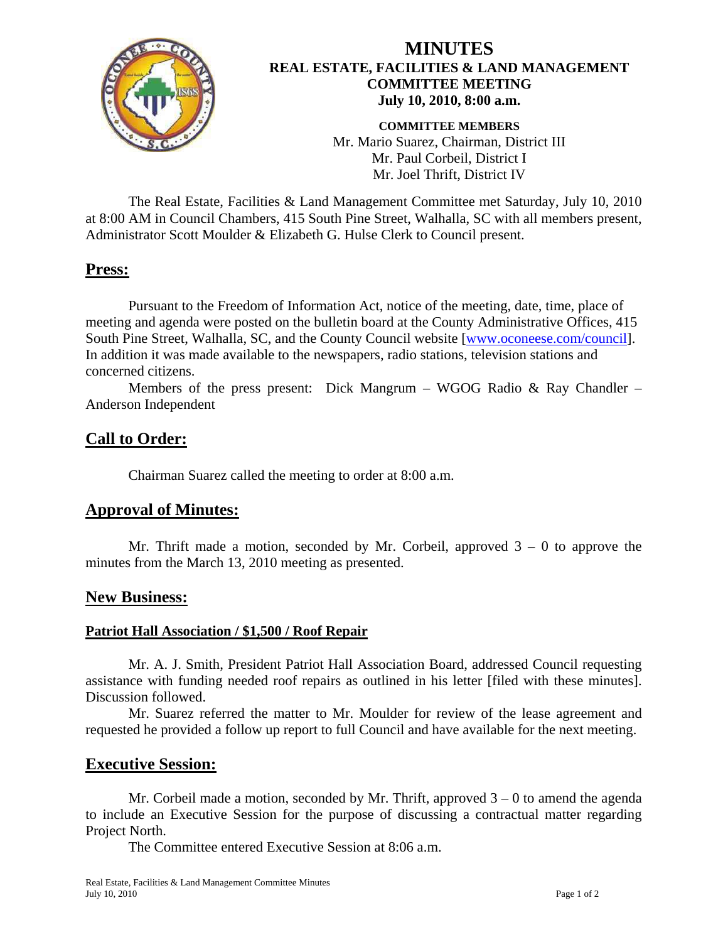

## **MINUTES REAL ESTATE, FACILITIES & LAND MANAGEMENT COMMITTEE MEETING July 10, 2010, 8:00 a.m.**

**COMMITTEE MEMBERS**  Mr. Mario Suarez, Chairman, District III Mr. Paul Corbeil, District I Mr. Joel Thrift, District IV

 The Real Estate, Facilities & Land Management Committee met Saturday, July 10, 2010 at 8:00 AM in Council Chambers, 415 South Pine Street, Walhalla, SC with all members present, Administrator Scott Moulder & Elizabeth G. Hulse Clerk to Council present.

## **Press:**

Pursuant to the Freedom of Information Act, notice of the meeting, date, time, place of meeting and agenda were posted on the bulletin board at the County Administrative Offices, 415 South Pine Street, Walhalla, SC, and the County Council website [\[www.oconeese.com/council\]](http://www.oconeese.com/council). In addition it was made available to the newspapers, radio stations, television stations and concerned citizens.

 Members of the press present: Dick Mangrum – WGOG Radio & Ray Chandler – Anderson Independent

# **Call to Order:**

Chairman Suarez called the meeting to order at 8:00 a.m.

## **Approval of Minutes:**

Mr. Thrift made a motion, seconded by Mr. Corbeil, approved  $3 - 0$  to approve the minutes from the March 13, 2010 meeting as presented.

## **New Business:**

#### **Patriot Hall Association / \$1,500 / Roof Repair**

Mr. A. J. Smith, President Patriot Hall Association Board, addressed Council requesting assistance with funding needed roof repairs as outlined in his letter [filed with these minutes]. Discussion followed.

 Mr. Suarez referred the matter to Mr. Moulder for review of the lease agreement and requested he provided a follow up report to full Council and have available for the next meeting.

## **Executive Session:**

Mr. Corbeil made a motion, seconded by Mr. Thrift, approved  $3 - 0$  to amend the agenda to include an Executive Session for the purpose of discussing a contractual matter regarding Project North.

The Committee entered Executive Session at 8:06 a.m.